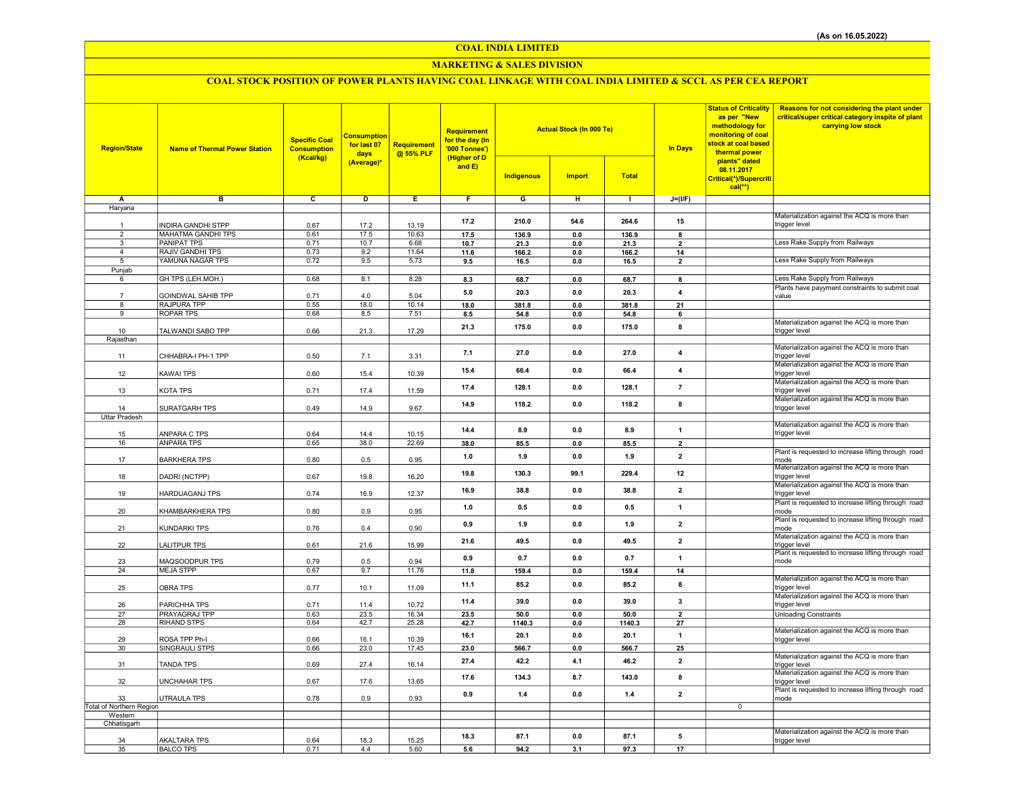## COAL INDIA LIMITED

## MARKETING & SALES DIVISION

# COAL STOCK POSITION OF POWER PLANTS HAVING COAL LINKAGE WITH COAL INDIA LIMITED & SCCL AS PER CEA REPORT

| <b>Region/State</b>      | <b>Name of Thermal Power Station</b> | <b>Specific Coal</b><br><b>Consumption</b><br>(Kcal/kg) | <b>Consumption</b><br>for last 07<br>days<br>(Average)* | <b>Requirement</b><br>@ 55% PLF | <b>Requirement</b><br>for the day (In<br>'000 Tonnes')<br>(Higher of D<br>and $E$ ) |                | <b>Actual Stock (In 000 Te)</b> |                | <b>In Days</b>                | <b>Status of Criticality</b><br>as per "New<br>methodology for<br>monitoring of coal<br><mark>stock at coal based</mark><br>thermal power<br>plants" dated<br>08.11.2017 | Reasons for not considering the plant under<br>critical/super critical category inspite of plant<br>carrying low stock |
|--------------------------|--------------------------------------|---------------------------------------------------------|---------------------------------------------------------|---------------------------------|-------------------------------------------------------------------------------------|----------------|---------------------------------|----------------|-------------------------------|--------------------------------------------------------------------------------------------------------------------------------------------------------------------------|------------------------------------------------------------------------------------------------------------------------|
|                          |                                      |                                                         |                                                         |                                 |                                                                                     | Indigenous     | <b>Import</b>                   | <b>Total</b>   |                               | Critical(*)/Supercriti<br><mark>cal(**)</mark>                                                                                                                           |                                                                                                                        |
| A                        | в                                    | c                                                       | Þ                                                       | Ε                               | F                                                                                   | G              | Έ                               | T              | $J=(VF)$                      |                                                                                                                                                                          |                                                                                                                        |
| Haryana                  |                                      |                                                         |                                                         |                                 |                                                                                     |                |                                 |                |                               |                                                                                                                                                                          | Materialization against the ACQ is more than                                                                           |
|                          | <b>INDIRA GANDHI STPP</b>            | 0.67                                                    | 17.2                                                    | 13.19                           | 17.2                                                                                | 210.0          | 54.6                            | 264.6          | 15                            |                                                                                                                                                                          | trigger level                                                                                                          |
| $\overline{2}$           | <b>MAHATMA GANDHI TPS</b>            | 0.61                                                    | 17.5                                                    | 10.63                           | 17.5                                                                                | 136.9          | 0.0                             | 136.9          | 8                             |                                                                                                                                                                          |                                                                                                                        |
| $\overline{3}$           | <b>PANIPAT TPS</b>                   | 0.71                                                    | 10.7                                                    | 6.68                            | 10.7                                                                                | 21.3           | 0.0                             | 21.3           | $\overline{2}$                |                                                                                                                                                                          | Less Rake Supply from Railways                                                                                         |
| $\overline{a}$           | RAJIV GANDHI TPS                     | 0.73                                                    | 9.2                                                     | 11.64                           | 11.6                                                                                | 166.2          | $0.0\,$                         | 166.2          | 14                            |                                                                                                                                                                          |                                                                                                                        |
| 5                        | YAMUNA NAGAR TPS                     | 0.72                                                    | 9.5                                                     | 5.73                            | 9.5                                                                                 | 16.5           | 0.0                             | 16.5           | $\overline{2}$                |                                                                                                                                                                          | Less Rake Supply from Railways                                                                                         |
| Punjab                   |                                      |                                                         |                                                         |                                 |                                                                                     |                |                                 |                |                               |                                                                                                                                                                          |                                                                                                                        |
| 6                        | GH TPS (LEH.MOH.)                    | 0.68                                                    | 8.1                                                     | 8.28                            | 8.3                                                                                 | 68.7           | 0.0                             | 68.7           | 8                             |                                                                                                                                                                          | Less Rake Supply from Railways<br>Plants have payyment constraints to submit coal                                      |
| $\overline{7}$           | <b>GOINDWAL SAHIB TPP</b>            | 0.71                                                    | 4.0                                                     | 5.04                            | 5.0                                                                                 | 20.3           | 0.0                             | 20.3           | $\overline{\mathbf{4}}$       |                                                                                                                                                                          | value                                                                                                                  |
| 8                        | <b>RAJPURA TPP</b>                   | 0.55                                                    | 18.0                                                    | 10.14                           | 18.0                                                                                | 381.8          | 0.0                             | 381.8          | 21                            |                                                                                                                                                                          |                                                                                                                        |
| 9                        | <b>ROPAR TPS</b>                     | 0.68                                                    | 8.5                                                     | 7.51                            | 8.5                                                                                 | 54.8           | 0.0                             | 54.8           | 6                             |                                                                                                                                                                          |                                                                                                                        |
|                          |                                      |                                                         |                                                         |                                 | 21.3                                                                                | 175.0          | 0.0                             | 175.0          | 8                             |                                                                                                                                                                          | Materialization against the ACQ is more than                                                                           |
| 10<br>Rajasthan          | TALWANDI SABO TPP                    | 0.66                                                    | 21.3                                                    | 17.29                           |                                                                                     |                |                                 |                |                               |                                                                                                                                                                          | trigger level                                                                                                          |
| 11                       | CHHABRA-I PH-1 TPP                   | 0.50                                                    | 7.1                                                     | 3.31                            | 7.1                                                                                 | 27.0           | 0.0                             | 27.0           | 4                             |                                                                                                                                                                          | Materialization against the ACQ is more than<br>trigger level                                                          |
| 12                       | <b>KAWAI TPS</b>                     | 0.60                                                    | 15.4                                                    | 10.39                           | 15.4                                                                                | 66.4           | 0.0                             | 66.4           | 4                             |                                                                                                                                                                          | Materialization against the ACQ is more than<br>trigger level                                                          |
| 13                       | <b>KOTA TPS</b>                      | 0.71                                                    | 17.4                                                    | 11.59                           | 17.4                                                                                | 128.1          | 0.0                             | 128.1          | $\overline{7}$                |                                                                                                                                                                          | Materialization against the ACQ is more than<br>trigger level                                                          |
| 14                       | SURATGARH TPS                        | 0.49                                                    | 14.9                                                    | 9.67                            | 14.9                                                                                | 118.2          | 0.0                             | 118.2          | 8                             |                                                                                                                                                                          | Materialization against the ACQ is more than<br>trigger level                                                          |
| <b>Uttar Pradesh</b>     |                                      |                                                         |                                                         |                                 |                                                                                     |                |                                 |                |                               |                                                                                                                                                                          | Materialization against the ACQ is more than                                                                           |
| 15                       | ANPARA C TPS                         | 0.64                                                    | 14.4                                                    | 10.15                           | 14.4                                                                                | 8.9            | 0.0                             | 8.9            | $\overline{1}$                |                                                                                                                                                                          | trigger level                                                                                                          |
| 16                       | <b>ANPARA TPS</b>                    | 0.65                                                    | 38.0                                                    | 22.69                           | 38.0                                                                                | 85.5           | 0.0                             | 85.5           | $\overline{2}$                |                                                                                                                                                                          |                                                                                                                        |
|                          |                                      |                                                         |                                                         |                                 |                                                                                     |                |                                 |                |                               |                                                                                                                                                                          | Plant is requested to increase lifting through road                                                                    |
| 17                       | <b>BARKHERA TPS</b>                  | 0.80                                                    | 0.5                                                     | 0.95                            | 1.0<br>19.8                                                                         | 1.9<br>130.3   | 0.0<br>99.1                     | 1.9<br>229.4   | $\overline{2}$<br>12          |                                                                                                                                                                          | mode<br>Materialization against the ACQ is more than                                                                   |
| 18                       | DADRI (NCTPP)                        | 0.67                                                    | 19.8                                                    | 16.20                           |                                                                                     |                |                                 |                |                               |                                                                                                                                                                          | trigger level                                                                                                          |
| 19                       | <b>HARDUAGANJ TPS</b>                | 0.74                                                    | 16.9                                                    | 12.37                           | 16.9                                                                                | 38.8           | 0.0                             | 38.8           | $\overline{2}$                |                                                                                                                                                                          | Materialization against the ACQ is more than<br>trigger level                                                          |
| 20                       | KHAMBARKHERA TPS                     | 0.80                                                    | 0.9                                                     | 0.95                            | 1.0                                                                                 | 0.5            | 0.0                             | 0.5            | $\mathbf{1}$                  |                                                                                                                                                                          | Plant is requested to increase lifting through road<br>mode<br>Plant is requested to increase lifting through road     |
| 21                       | <b>KUNDARKI TPS</b>                  | 0.76                                                    | 0.4                                                     | 0.90                            | 0.9                                                                                 | 1.9            | 0.0                             | 1.9            | $\mathbf{2}$                  |                                                                                                                                                                          | mode<br>Materialization against the ACQ is more than                                                                   |
| 22                       | <b>LALITPUR TPS</b>                  | 0.61                                                    | 21.6                                                    | 15.99                           | 21.6                                                                                | 49.5           | 0.0                             | 49.5           | $\mathbf{2}$                  |                                                                                                                                                                          | trigger level<br>Plant is requested to increase lifting through road                                                   |
| 23                       | MAQSOODPUR TPS                       | 0.79                                                    | 0.5                                                     | 0.94                            | 0.9                                                                                 | 0.7            | 0.0                             | 0.7            | 1                             |                                                                                                                                                                          | mode                                                                                                                   |
| 24                       | <b>MEJA STPP</b>                     | 0.67                                                    | 9.7                                                     | 11.76                           | 11.8                                                                                | 159.4          | 0.0                             | 159.4          | 14                            |                                                                                                                                                                          |                                                                                                                        |
| 25                       | <b>OBRA TPS</b>                      | 0.77                                                    | 10.1                                                    | 11.09                           | 11.1                                                                                | 85.2           | 0.0                             | 85.2           | 8                             |                                                                                                                                                                          | Materialization against the ACQ is more than<br>trigger level                                                          |
| 26                       | PARICHHA TPS                         | 0.71                                                    | 11.4                                                    | 10.72                           | 11.4                                                                                | 39.0           | 0.0                             | 39.0           | 3                             |                                                                                                                                                                          | Materialization against the ACQ is more than<br>trigger level                                                          |
| 27<br>28                 | PRAYAGRAJ TPP<br><b>RIHAND STPS</b>  | 0.63<br>0.64                                            | 23.5<br>42.7                                            | 16.34<br>25.28                  | 23.5<br>42.7                                                                        | 50.0<br>1140.3 | 0.0<br>0.0                      | 50.0<br>1140.3 | $\overline{\mathbf{2}}$<br>27 |                                                                                                                                                                          | <b>Unloading Constraints</b>                                                                                           |
|                          |                                      |                                                         |                                                         |                                 |                                                                                     |                |                                 |                |                               |                                                                                                                                                                          | Materialization against the ACQ is more than                                                                           |
| 29                       | ROSA TPP Ph-I                        | 0.66                                                    | 16.1                                                    | 10.39                           | 16.1                                                                                | 20.1           | 0.0                             | 20.1           | $\mathbf{1}$                  |                                                                                                                                                                          | trigger level                                                                                                          |
| 30                       | <b>SINGRAULI STPS</b>                | 0.66                                                    | 23.0                                                    | 17.45                           | 23.0                                                                                | 566.7          | 0.0                             | 566.7          | 25                            |                                                                                                                                                                          |                                                                                                                        |
| 31                       | <b>TANDA TPS</b>                     | 0.69                                                    | 27.4                                                    | 16.14                           | 27.4                                                                                | 42.2           | 4.1                             | 46.2           | $\overline{2}$                |                                                                                                                                                                          | Materialization against the ACQ is more than<br>trigger level                                                          |
| 32                       | <b>UNCHAHAR TPS</b>                  | 0.67                                                    | 17.6                                                    | 13.65                           | 17.6                                                                                | 134.3          | 8.7                             | 143.0          | 8                             |                                                                                                                                                                          | Materialization against the ACQ is more than<br>trigger level<br>Plant is requested to increase lifting through road   |
| 33                       | UTRAULA TPS                          | 0.78                                                    | 0.9                                                     | 0.93                            | 0.9                                                                                 | 1.4            | 0.0                             | 1.4            | $\overline{2}$                |                                                                                                                                                                          | mode                                                                                                                   |
| Total of Northern Region |                                      |                                                         |                                                         |                                 |                                                                                     |                |                                 |                |                               | $\mathbf 0$                                                                                                                                                              |                                                                                                                        |
| Western<br>Chhatisgarh   |                                      |                                                         |                                                         |                                 |                                                                                     |                |                                 |                |                               |                                                                                                                                                                          |                                                                                                                        |
|                          |                                      |                                                         |                                                         |                                 |                                                                                     |                |                                 |                |                               |                                                                                                                                                                          | Materialization against the ACQ is more than                                                                           |
| 34                       | <b>AKALTARA TPS</b>                  | 0.64                                                    | 18.3                                                    | 15.25                           | 18.3                                                                                | 87.1           | 0.0                             | 87.1           | 5                             |                                                                                                                                                                          | trigger level                                                                                                          |
| 35                       | <b>BALCO TPS</b>                     | 0.71                                                    | 4.4                                                     | 5.60                            | 5.6                                                                                 | 94.2           | 3.1                             | 97.3           | 17                            |                                                                                                                                                                          |                                                                                                                        |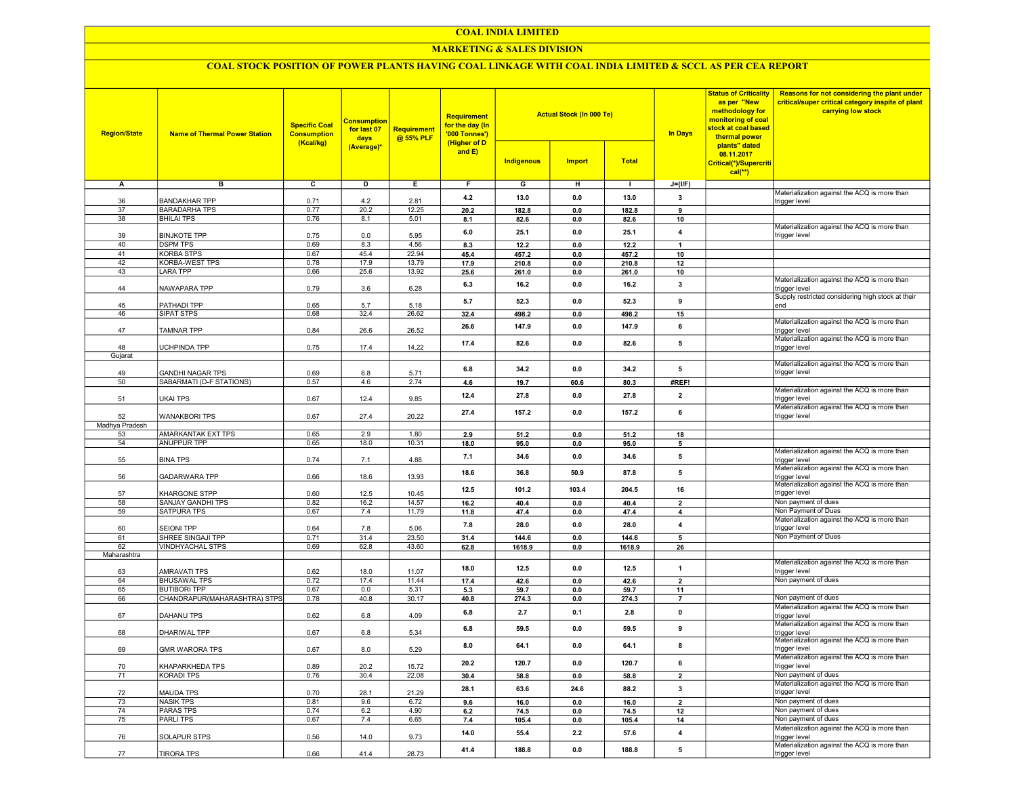#### COAL INDIA LIMITED

## MARKETING & SALES DIVISION

## COAL STOCK POSITION OF POWER PLANTS HAVING COAL LINKAGE WITH COAL INDIA LIMITED & SCCL AS PER CEA REPORT

| <b>Region/State</b>  | <b>Name of Thermal Power Station</b>                | <b>Specific Coal</b><br><b>Consumption</b><br>(Kcal/kg) | <b>Consumption</b><br>for last 07<br>days<br>(Average)* | <b>Requirement</b><br>@ 55% PLF | <b>Requirement</b><br>for the day (In<br>'000 Tonnes')<br>(Higher of D<br>and $E$ ) | Indigenous   | <b>Actual Stock (In 000 Te)</b><br><b>Import</b> | <b>Total</b> | <b>In Days</b>          | <b>Status of Criticality</b><br>as per "New<br>methodology for<br>monitoring of coal<br>stock at coal based<br>thermal power<br>plants" dated<br>08.11.2017<br>Critical(*)/Supercriti<br>$cal(**)$ | Reasons for not considering the plant under<br>critical/super critical category inspite of plant<br>carrying low stock |
|----------------------|-----------------------------------------------------|---------------------------------------------------------|---------------------------------------------------------|---------------------------------|-------------------------------------------------------------------------------------|--------------|--------------------------------------------------|--------------|-------------------------|----------------------------------------------------------------------------------------------------------------------------------------------------------------------------------------------------|------------------------------------------------------------------------------------------------------------------------|
| Α                    | в                                                   | c                                                       | D                                                       | Е.                              | F.                                                                                  | G            | н                                                | л.           | $J=(I/F)$               |                                                                                                                                                                                                    |                                                                                                                        |
|                      |                                                     |                                                         |                                                         |                                 |                                                                                     |              |                                                  |              |                         |                                                                                                                                                                                                    | Materialization against the ACQ is more than                                                                           |
| 36                   | <b>BANDAKHAR TPP</b>                                | 0.71                                                    | 4.2                                                     | 2.81                            | 4.2                                                                                 | 13.0         | 0.0                                              | 13.0         | 3                       |                                                                                                                                                                                                    | trigger level                                                                                                          |
| 37                   | <b>BARADARHA TPS</b>                                | 0.77                                                    | 20.2                                                    | 12.25                           | 20.2                                                                                | 182.8        | 0.0                                              | 182.8        | 9                       |                                                                                                                                                                                                    |                                                                                                                        |
| 38                   | <b>BHILAI TPS</b>                                   | 0.76                                                    | 8.1                                                     | 5.01                            | 8.1                                                                                 | 82.6         | 0.0                                              | 82.6         | 10                      |                                                                                                                                                                                                    | Materialization against the ACQ is more than                                                                           |
| 39                   | <b>BINJKOTE TPP</b>                                 | 0.75                                                    | 0.0                                                     | 5.95                            | 6.0                                                                                 | 25.1         | 0.0                                              | 25.1         | 4                       |                                                                                                                                                                                                    | trigger level                                                                                                          |
| 40                   | <b>DSPM TPS</b>                                     | 0.69                                                    | 8.3                                                     | 4.56                            | 8.3                                                                                 | 12.2         | 0.0                                              | 12.2         | -1                      |                                                                                                                                                                                                    |                                                                                                                        |
| 41                   | <b>KORBA STPS</b>                                   | 0.67                                                    | 45.4                                                    | 22.94                           | 45.4                                                                                | 457.2        | 0.0                                              | 457.2        | 10                      |                                                                                                                                                                                                    |                                                                                                                        |
| 42                   | <b>KORBA-WEST TPS</b>                               | 0.78                                                    | 17.9                                                    | 13.79                           | 17.9                                                                                | 210.8        | 0.0                                              | 210.8        | 12                      |                                                                                                                                                                                                    |                                                                                                                        |
| 43                   | <b>LARA TPP</b>                                     | 0.66                                                    | 25.6                                                    | 13.92                           | 25.6                                                                                | 261.0        | 0.0                                              | 261.0        | 10                      |                                                                                                                                                                                                    |                                                                                                                        |
| 44                   | NAWAPARA TPP                                        | 0.79                                                    | 3.6                                                     | 6.28                            | 6.3                                                                                 | 16.2         | 0.0                                              | 16.2         | 3                       |                                                                                                                                                                                                    | Materialization against the ACQ is more than<br>trigger level                                                          |
|                      |                                                     |                                                         |                                                         |                                 |                                                                                     |              |                                                  |              | 9                       |                                                                                                                                                                                                    | Supply restricted considering high stock at their                                                                      |
| 45                   | PATHADI TPP                                         | 0.65                                                    | 5.7                                                     | 5.18                            | 5.7                                                                                 | 52.3         | 0.0                                              | 52.3         |                         |                                                                                                                                                                                                    | end                                                                                                                    |
| 46                   | <b>SIPAT STPS</b>                                   | 0.68                                                    | 32.4                                                    | 26.62                           | 32.4                                                                                | 498.2        | 0.0                                              | 498.2        | 15                      |                                                                                                                                                                                                    |                                                                                                                        |
| 47                   | TAMNAR TPP                                          | 0.84                                                    | 26.6                                                    | 26.52                           | 26.6                                                                                | 147.9        | 0.0                                              | 147.9        | 6                       |                                                                                                                                                                                                    | Materialization against the ACQ is more than<br>trigger level                                                          |
|                      |                                                     |                                                         |                                                         |                                 |                                                                                     |              |                                                  |              |                         |                                                                                                                                                                                                    | Materialization against the ACQ is more than                                                                           |
| 48                   | UCHPINDA TPP                                        | 0.75                                                    | 17.4                                                    | 14.22                           | 17.4                                                                                | 82.6         | 0.0                                              | 82.6         | 5                       |                                                                                                                                                                                                    | trigger level                                                                                                          |
| Gujarat              |                                                     |                                                         |                                                         |                                 |                                                                                     |              |                                                  |              |                         |                                                                                                                                                                                                    |                                                                                                                        |
|                      |                                                     |                                                         |                                                         |                                 | 6.8                                                                                 | 34.2         | 0.0                                              | 34.2         | 5                       |                                                                                                                                                                                                    | Materialization against the ACQ is more than<br>trigger level                                                          |
| 49<br>50             | <b>GANDHI NAGAR TPS</b><br>SABARMATI (D-F STATIONS) | 0.69<br>0.57                                            | 6.8<br>4.6                                              | 5.71<br>2.74                    | 4.6                                                                                 | 19.7         | 60.6                                             | 80.3         | #REF!                   |                                                                                                                                                                                                    |                                                                                                                        |
|                      |                                                     |                                                         |                                                         |                                 |                                                                                     |              |                                                  |              |                         |                                                                                                                                                                                                    | Materialization against the ACQ is more than                                                                           |
| 51                   | <b>UKAI TPS</b>                                     | 0.67                                                    | 12.4                                                    | 9.85                            | 12.4                                                                                | 27.8         | 0.0                                              | 27.8         | $\overline{2}$          |                                                                                                                                                                                                    | trigger level                                                                                                          |
|                      |                                                     |                                                         |                                                         |                                 | 27.4                                                                                | 157.2        | 0.0                                              | 157.2        | 6                       |                                                                                                                                                                                                    | Materialization against the ACQ is more than                                                                           |
| 52                   | <b>WANAKBORI TPS</b>                                | 0.67                                                    | 27.4                                                    | 20.22                           |                                                                                     |              |                                                  |              |                         |                                                                                                                                                                                                    | trigger level                                                                                                          |
| Madhya Pradesh<br>53 | <b>AMARKANTAK EXT TPS</b>                           | 0.65                                                    | 2.9                                                     | 1.80                            | 2.9                                                                                 | 51.2         | 0.0                                              | 51.2         | 18                      |                                                                                                                                                                                                    |                                                                                                                        |
| 54                   | <b>ANUPPUR TPP</b>                                  | 0.65                                                    | 18.0                                                    | 10.31                           | 18.0                                                                                | 95.0         | 0.0                                              | 95.0         | 5                       |                                                                                                                                                                                                    |                                                                                                                        |
|                      |                                                     |                                                         |                                                         |                                 |                                                                                     |              |                                                  |              |                         |                                                                                                                                                                                                    | Materialization against the ACQ is more than                                                                           |
| 55                   | <b>BINA TPS</b>                                     | 0.74                                                    | 7.1                                                     | 4.88                            | 7.1                                                                                 | 34.6         | 0.0                                              | 34.6         | 5                       |                                                                                                                                                                                                    | trigger level                                                                                                          |
|                      |                                                     |                                                         |                                                         |                                 | 18.6                                                                                | 36.8         | 50.9                                             | 87.8         | 5                       |                                                                                                                                                                                                    | Materialization against the ACQ is more than                                                                           |
| 56                   | <b>GADARWARA TPP</b>                                | 0.66                                                    | 18.6                                                    | 13.93                           |                                                                                     |              |                                                  |              |                         |                                                                                                                                                                                                    | trigger level<br>Materialization against the ACQ is more than                                                          |
| 57                   | <b>KHARGONE STPP</b>                                | 0.60                                                    | 12.5                                                    | 10.45                           | 12.5                                                                                | 101.2        | 103.4                                            | 204.5        | 16                      |                                                                                                                                                                                                    | trigger level                                                                                                          |
| 58                   | SANJAY GANDHI TPS                                   | 0.82                                                    | 16.2                                                    | 14.57                           | 16.2                                                                                | 40.4         | 0.0                                              | 40.4         | $\overline{2}$          |                                                                                                                                                                                                    | Non payment of dues                                                                                                    |
| 59                   | SATPURA TPS                                         | 0.67                                                    | 7.4                                                     | 11.79                           | 11.8                                                                                | 47.4         | 0.0                                              | 47.4         | 4                       |                                                                                                                                                                                                    | Non Payment of Dues                                                                                                    |
|                      |                                                     |                                                         |                                                         |                                 | 7.8                                                                                 | 28.0         | 0.0                                              | 28.0         | 4                       |                                                                                                                                                                                                    | Materialization against the ACQ is more than<br>trigger level                                                          |
| 60<br>61             | <b>SEIONI TPP</b><br>SHREE SINGAJI TPP              | 0.64<br>0.71                                            | 7.8<br>31.4                                             | 5.06<br>23.50                   | 31.4                                                                                | 144.6        | 0.0                                              | 144.6        | 5                       |                                                                                                                                                                                                    | Non Payment of Dues                                                                                                    |
| 62                   | <b>VINDHYACHAL STPS</b>                             | 0.69                                                    | 62.8                                                    | 43.60                           | 62.8                                                                                | 1618.9       | 0.0                                              | 1618.9       | 26                      |                                                                                                                                                                                                    |                                                                                                                        |
| Maharashtra          |                                                     |                                                         |                                                         |                                 |                                                                                     |              |                                                  |              |                         |                                                                                                                                                                                                    |                                                                                                                        |
|                      |                                                     |                                                         |                                                         |                                 | 18.0                                                                                | 12.5         | 0.0                                              | 12.5         | 1                       |                                                                                                                                                                                                    | Materialization against the ACQ is more than                                                                           |
| 63                   | <b>AMRAVATI TPS</b>                                 | 0.62                                                    | 18.0                                                    | 11.07                           |                                                                                     |              |                                                  |              |                         |                                                                                                                                                                                                    | trigger level<br>Non payment of dues                                                                                   |
| 64<br>65             | <b>BHUSAWAL TPS</b><br><b>BUTIBORI TPP</b>          | 0.72<br>0.67                                            | 17.4<br>0.0                                             | 11.44<br>5.31                   | 17.4<br>5.3                                                                         | 42.6<br>59.7 | 0.0<br>0.0                                       | 42.6<br>59.7 | $\overline{2}$<br>11    |                                                                                                                                                                                                    |                                                                                                                        |
| 66                   | CHANDRAPUR(MAHARASHTRA) STPS                        | 0.78                                                    | 40.8                                                    | 30.17                           | 40.8                                                                                | 274.3        | 0.0                                              | 274.3        | $\overline{7}$          |                                                                                                                                                                                                    | Non payment of dues                                                                                                    |
|                      |                                                     |                                                         |                                                         |                                 |                                                                                     |              |                                                  |              |                         |                                                                                                                                                                                                    | Materialization against the ACQ is more than                                                                           |
| 67                   | <b>DAHANU TPS</b>                                   | 0.62                                                    | 6.8                                                     | 4.09                            | 6.8                                                                                 | 2.7          | 0.1                                              | 2.8          | $\mathbf 0$             |                                                                                                                                                                                                    | trigger level                                                                                                          |
|                      |                                                     |                                                         |                                                         |                                 | 6.8                                                                                 | 59.5         | 0.0                                              | 59.5         | 9                       |                                                                                                                                                                                                    | Materialization against the ACQ is more than                                                                           |
| 68                   | DHARIWAL TPP                                        | 0.67                                                    | 6.8                                                     | 5.34                            |                                                                                     |              |                                                  |              |                         |                                                                                                                                                                                                    | trigger level<br>Materialization against the ACQ is more than                                                          |
| 69                   | <b>GMR WARORA TPS</b>                               | 0.67                                                    | 8.0                                                     | 5.29                            | 8.0                                                                                 | 64.1         | 0.0                                              | 64.1         | 8                       |                                                                                                                                                                                                    | trigger level                                                                                                          |
|                      |                                                     |                                                         |                                                         |                                 | 20.2                                                                                |              | $0.0\,$                                          | 120.7        |                         |                                                                                                                                                                                                    | Materialization against the ACQ is more than                                                                           |
| 70                   | KHAPARKHEDA TPS                                     | 0.89                                                    | 20.2                                                    | 15.72                           |                                                                                     | 120.7        |                                                  |              | 6                       |                                                                                                                                                                                                    | trigger level                                                                                                          |
| 71                   | <b>KORADI TPS</b>                                   | 0.76                                                    | 30.4                                                    | 22.08                           | 30.4                                                                                | 58.8         | $0.0\,$                                          | 58.8         | $\overline{\mathbf{2}}$ |                                                                                                                                                                                                    | Non payment of dues<br>Materialization against the ACQ is more than                                                    |
| 72                   | <b>MAUDA TPS</b>                                    | 0.70                                                    | 28.1                                                    | 21.29                           | 28.1                                                                                | 63.6         | 24.6                                             | 88.2         | $\mathbf{3}$            |                                                                                                                                                                                                    | trigger level                                                                                                          |
| 73                   | <b>NASIK TPS</b>                                    | 0.81                                                    | 9.6                                                     | 6.72                            | 9.6                                                                                 | 16.0         | 0.0                                              | 16.0         | $\overline{2}$          |                                                                                                                                                                                                    | Non payment of dues                                                                                                    |
| 74                   | <b>PARAS TPS</b>                                    | 0.74                                                    | 6.2                                                     | 4.90                            | 6.2                                                                                 | 74.5         | 0.0                                              | 74.5         | 12                      |                                                                                                                                                                                                    | Non payment of dues                                                                                                    |
| 75                   | <b>PARLITPS</b>                                     | 0.67                                                    | 7.4                                                     | 6.65                            | 7.4                                                                                 | 105.4        | 0.0                                              | 105.4        | 14                      |                                                                                                                                                                                                    | Non payment of dues                                                                                                    |
|                      |                                                     |                                                         |                                                         |                                 | 14.0                                                                                | 55.4         | 2.2                                              | 57.6         | 4                       |                                                                                                                                                                                                    | Materialization against the ACQ is more than                                                                           |
| 76                   | SOLAPUR STPS                                        | 0.56                                                    | 14.0                                                    | 9.73                            |                                                                                     |              |                                                  |              |                         |                                                                                                                                                                                                    | trigger level<br>Materialization against the ACQ is more than                                                          |
| 77                   | <b>TIRORA TPS</b>                                   | 0.66                                                    | 41.4                                                    | 28.73                           | 41.4                                                                                | 188.8        | 0.0                                              | 188.8        | 5                       |                                                                                                                                                                                                    | trigger level                                                                                                          |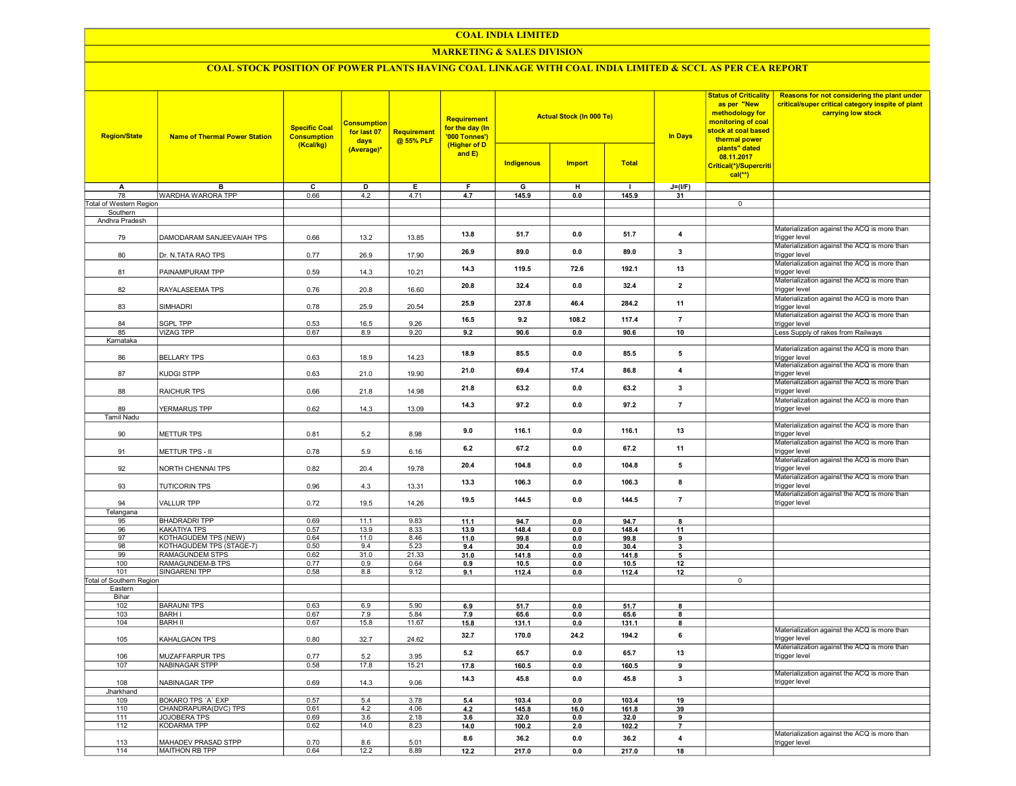#### COAL INDIA LIMITED

## MARKETING & SALES DIVISION

# COAL STOCK POSITION OF POWER PLANTS HAVING COAL LINKAGE WITH COAL INDIA LIMITED & SCCL AS PER CEA REPORT

| <b>Region/State</b>        | <b>Name of Thermal Power Station</b>     | <b>Specific Coal</b><br><b>Consumption</b><br>(Kcal/kg) | <b>Consumption</b><br>for last 07<br>days | <b>Requirement</b><br>@ 55% PLF | Requirement<br>for the day (In<br>'000 Tonnes')<br>(Higher of D |                   | <b>Actual Stock (In 000 Te)</b> |               | In Days                  | <b>Status of Criticality</b><br>as per "New<br>methodology for<br>monitoring of coal<br>stock at coal based<br>thermal power<br>plants" dated | Reasons for not considering the plant under<br>critical/super critical category inspite of plant<br>carrying low stock |
|----------------------------|------------------------------------------|---------------------------------------------------------|-------------------------------------------|---------------------------------|-----------------------------------------------------------------|-------------------|---------------------------------|---------------|--------------------------|-----------------------------------------------------------------------------------------------------------------------------------------------|------------------------------------------------------------------------------------------------------------------------|
|                            |                                          |                                                         | (Average)*                                |                                 | and $E$ )                                                       | <b>Indigenous</b> | <b>Import</b>                   | <b>Total</b>  |                          | 08.11.2017<br>Critical(*)/Supercriti<br>$cal(**)$                                                                                             |                                                                                                                        |
| Α                          | B                                        | $\overline{\mathsf{c}}$                                 | D                                         | Е                               | F                                                               | G                 | H                               | $\mathbf{I}$  | $J=(I/F)$                |                                                                                                                                               |                                                                                                                        |
| 78                         | WARDHA WARORA TPP                        | 0.66                                                    | 4.2                                       | 4.71                            | 4.7                                                             | 145.9             | 0.0                             | 145.9         | 31                       |                                                                                                                                               |                                                                                                                        |
| Total of Western Region    |                                          |                                                         |                                           |                                 |                                                                 |                   |                                 |               |                          | $\overline{0}$                                                                                                                                |                                                                                                                        |
| Southern<br>Andhra Pradesh |                                          |                                                         |                                           |                                 |                                                                 |                   |                                 |               |                          |                                                                                                                                               |                                                                                                                        |
| 79                         | DAMODARAM SANJEEVAIAH TPS                | 0.66                                                    | 13.2                                      | 13.85                           | 13.8                                                            | 51.7              | 0.0                             | 51.7          | 4                        |                                                                                                                                               | Materialization against the ACQ is more than<br>trigger level                                                          |
| 80                         | Dr. N.TATA RAO TPS                       | 0.77                                                    | 26.9                                      | 17.90                           | 26.9                                                            | 89.0              | 0.0                             | 89.0          | 3                        |                                                                                                                                               | Materialization against the ACQ is more than<br>trigger level                                                          |
| 81                         | PAINAMPURAM TPP                          | 0.59                                                    | 14.3                                      | 10.21                           | 14.3                                                            | 119.5             | 72.6                            | 192.1         | 13                       |                                                                                                                                               | Materialization against the ACQ is more than<br>trigger level                                                          |
| 82                         | RAYALASEEMA TPS                          | 0.76                                                    | 20.8                                      | 16.60                           | 20.8                                                            | 32.4              | 0.0                             | 32.4          | $\overline{2}$           |                                                                                                                                               | Materialization against the ACQ is more than<br>trigger level                                                          |
| 83                         | <b>SIMHADRI</b>                          | 0.78                                                    | 25.9                                      | 20.54                           | 25.9                                                            | 237.8             | 46.4                            | 284.2         | 11                       |                                                                                                                                               | Materialization against the ACQ is more than<br>trigger level                                                          |
| 84                         | SGPL TPP                                 | 0.53                                                    | 16.5                                      | 9.26                            | 16.5                                                            | 9.2               | 108.2                           | 117.4         | $\overline{7}$           |                                                                                                                                               | Materialization against the ACQ is more than<br>trigger level                                                          |
| 85<br>Karnataka            | <b>VIZAG TPP</b>                         | 0.67                                                    | 8.9                                       | 9.20                            | 9.2                                                             | 90.6              | 0.0                             | 90.6          | 10                       |                                                                                                                                               | Less Supply of rakes from Railways                                                                                     |
| 86                         | <b>BELLARY TPS</b>                       | 0.63                                                    | 18.9                                      | 14.23                           | 18.9                                                            | 85.5              | 0.0                             | 85.5          | 5                        |                                                                                                                                               | Materialization against the ACQ is more than<br>trigger level                                                          |
| 87                         | KUDGI STPP                               | 0.63                                                    | 21.0                                      | 19.90                           | 21.0                                                            | 69.4              | 17.4                            | 86.8          | 4                        |                                                                                                                                               | Materialization against the ACQ is more than<br>trigger level                                                          |
| 88                         | RAICHUR TPS                              | 0.66                                                    | 21.8                                      | 14.98                           | 21.8                                                            | 63.2              | 0.0                             | 63.2          | $\overline{\mathbf{3}}$  |                                                                                                                                               | Materialization against the ACQ is more than<br>trigger level                                                          |
| 89                         | YERMARUS TPP                             | 0.62                                                    | 14.3                                      | 13.09                           | 14.3                                                            | 97.2              | 0.0                             | 97.2          | $\overline{7}$           |                                                                                                                                               | Materialization against the ACQ is more than<br>trigger level                                                          |
| <b>Tamil Nadu</b>          |                                          |                                                         |                                           |                                 |                                                                 |                   |                                 |               |                          |                                                                                                                                               |                                                                                                                        |
| 90                         | <b>METTUR TPS</b>                        | 0.81                                                    | 5.2                                       | 8.98                            | 9.0                                                             | 116.1             | 0.0                             | 116.1         | 13                       |                                                                                                                                               | Materialization against the ACQ is more than<br>trigger level                                                          |
| 91                         | METTUR TPS - II                          | 0.78                                                    | 5.9                                       | 6.16                            | 6.2                                                             | 67.2              | 0.0                             | 67.2          | 11                       |                                                                                                                                               | Materialization against the ACQ is more than<br>trigger level<br>Materialization against the ACQ is more than          |
| 92                         | NORTH CHENNAI TPS                        | 0.82                                                    | 20.4                                      | 19.78                           | 20.4                                                            | 104.8             | 0.0                             | 104.8         | 5                        |                                                                                                                                               | trigger level<br>Materialization against the ACQ is more than                                                          |
| 93                         | <b>TUTICORIN TPS</b>                     | 0.96                                                    | 4.3                                       | 13.31                           | 13.3                                                            | 106.3             | 0.0                             | 106.3         | 8                        |                                                                                                                                               | trigger level<br>Materialization against the ACQ is more than                                                          |
| 94<br>Telangana            | <b>VALLUR TPP</b>                        | 0.72                                                    | 19.5                                      | 14.26                           | 19.5                                                            | 144.5             | 0.0                             | 144.5         | $\overline{7}$           |                                                                                                                                               | trigger level                                                                                                          |
| 95                         | <b>BHADRADRI TPP</b>                     | 0.69                                                    | 11.1                                      | 9.83                            | 11.1                                                            | 94.7              | 0.0                             | 94.7          | $\mathbf{a}$             |                                                                                                                                               |                                                                                                                        |
| 96                         | KAKATIYA TPS                             | 0.57                                                    | 13.9                                      | 8.33                            | 13.9                                                            | 148.4             | 0.0                             | 148.4         | 11                       |                                                                                                                                               |                                                                                                                        |
| 97                         | <b>KOTHAGUDEM TPS (NEW)</b>              | 0.64                                                    | 11.0                                      | 8.46                            | 11.0                                                            | 99.8              | 0.0                             | 99.8          | 9                        |                                                                                                                                               |                                                                                                                        |
| 98                         | KOTHAGUDEM TPS (STAGE-7)                 | 0.50                                                    | 9.4                                       | 5.23                            | 9.4                                                             | 30.4              | 0.0                             | 30.4          | $\overline{\mathbf{3}}$  |                                                                                                                                               |                                                                                                                        |
| 99                         | <b>RAMAGUNDEM STPS</b>                   | 0.62                                                    | 31.0                                      | 21.33                           | 31.0                                                            | 141.8             | 0.0                             | 141.8         | 5                        |                                                                                                                                               |                                                                                                                        |
| 100<br>101                 | RAMAGUNDEM-B TPS<br><b>SINGARENI TPP</b> | 0.77<br>0.58                                            | 0.9<br>8.8                                | 0.64<br>9.12                    | 0.9<br>9.1                                                      | 10.5<br>112.4     | 0.0<br>0.0                      | 10.5<br>112.4 | 12<br>12                 |                                                                                                                                               |                                                                                                                        |
| Total of Southern Region   |                                          |                                                         |                                           |                                 |                                                                 |                   |                                 |               |                          | $\overline{0}$                                                                                                                                |                                                                                                                        |
| Eastern                    |                                          |                                                         |                                           |                                 |                                                                 |                   |                                 |               |                          |                                                                                                                                               |                                                                                                                        |
| Bihar                      |                                          |                                                         |                                           |                                 |                                                                 |                   |                                 |               |                          |                                                                                                                                               |                                                                                                                        |
| 102                        | <b>BARAUNI TPS</b>                       | 0.63                                                    | 6.9                                       | 5.90                            | 6.9                                                             | 51.7              | 0.0                             | 51.7          | 8                        |                                                                                                                                               |                                                                                                                        |
| 103                        | <b>BARH I</b>                            | 0.67                                                    | 7.9                                       | 5.84                            | 7.9                                                             | 65.6              | 0.0                             | 65.6          | 8                        |                                                                                                                                               |                                                                                                                        |
| 104                        | <b>BARH II</b>                           | 0.67                                                    | 15.8                                      | 11.67                           | 15.8                                                            | 131.1             | 0.0                             | 131.1         | 8                        |                                                                                                                                               | Materialization against the ACQ is more than                                                                           |
| 105                        | KAHALGAON TPS                            | 0.80                                                    | 32.7                                      | 24.62                           | 32.7                                                            | 170.0             | 24.2                            | 194.2         | 6                        |                                                                                                                                               | trigger level<br>Materialization against the ACQ is more than                                                          |
| 106<br>107                 | MUZAFFARPUR TPS<br><b>NABINAGAR STPP</b> | 0.77<br>0.58                                            | 5.2<br>17.8                               | 3.95<br>15.21                   | 5.2                                                             | 65.7<br>160.5     | 0.0<br>0.0                      | 65.7<br>160.5 | 13<br>9                  |                                                                                                                                               | trigger level                                                                                                          |
|                            |                                          |                                                         |                                           |                                 | 17.8                                                            |                   |                                 |               |                          |                                                                                                                                               | Materialization against the ACQ is more than                                                                           |
| 108<br>Jharkhand           | NABINAGAR TPP                            | 0.69                                                    | 14.3                                      | 9.06                            | 14.3                                                            | 45.8              | 0.0                             | 45.8          | $\mathbf{3}$             |                                                                                                                                               | trigger level                                                                                                          |
| 109                        | BOKARO TPS 'A' EXP                       | 0.57                                                    | 5.4                                       | 3.78                            | 5.4                                                             | 103.4             | 0 <sub>0</sub>                  | 103.4         | 19                       |                                                                                                                                               |                                                                                                                        |
| 110                        | CHANDRAPURA(DVC) TPS                     | 0.61                                                    | 4.2                                       | 4.06                            | 4.2                                                             | 145.8             | 16.0                            | 161.8         | 39                       |                                                                                                                                               |                                                                                                                        |
| 111                        | <b>JOJOBERA TPS</b>                      | 0.69                                                    | 3.6                                       | 2.18                            | 3.6                                                             | 32.0              | 0.0                             | 32.0          | 9                        |                                                                                                                                               |                                                                                                                        |
| 112                        | <b>KODARMA TPP</b>                       | 0.62                                                    | 14.0                                      | 8.23                            | 14.0                                                            | 100.2             | 2.0                             | 102.2         | $\overline{\phantom{a}}$ |                                                                                                                                               |                                                                                                                        |
| 113                        | MAHADEV PRASAD STPP                      | 0.70                                                    | 8.6                                       | 5.01                            | 8.6                                                             | 36.2              | 0.0                             | 36.2          | 4                        |                                                                                                                                               | Materialization against the ACQ is more than<br>trigger level                                                          |
| 114                        | MAITHON RB TPP                           | 0.64                                                    | 12.2                                      | 8.89                            | 12.2                                                            | 217.0             | 0.0                             | 217.0         | 18                       |                                                                                                                                               |                                                                                                                        |